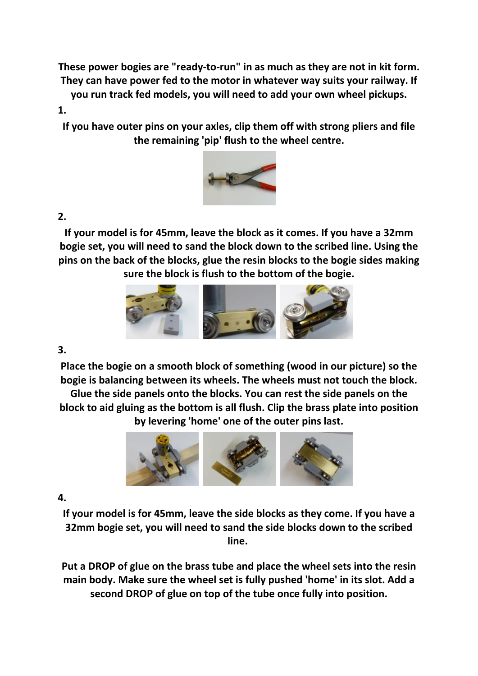**These power bogies are "ready-to-run" in as much as they are not in kit form. They can have power fed to the motor in whatever way suits your railway. If you run track fed models, you will need to add your own wheel pickups.** 

## **1.**

**If you have outer pins on your axles, clip them off with strong pliers and file the remaining 'pip' flush to the wheel centre.**



## **2.**

**If your model is for 45mm, leave the block as it comes. If you have a 32mm bogie set, you will need to sand the block down to the scribed line. Using the pins on the back of the blocks, glue the resin blocks to the bogie sides making sure the block is flush to the bottom of the bogie.**



## **3.**

**Place the bogie on a smooth block of something (wood in our picture) so the bogie is balancing between its wheels. The wheels must not touch the block. Glue the side panels onto the blocks. You can rest the side panels on the block to aid gluing as the bottom is all flush. Clip the brass plate into position** 

**by levering 'home' one of the outer pins last.**



## **4.**

**If your model is for 45mm, leave the side blocks as they come. If you have a 32mm bogie set, you will need to sand the side blocks down to the scribed line.** 

**Put a DROP of glue on the brass tube and place the wheel sets into the resin main body. Make sure the wheel set is fully pushed 'home' in its slot. Add a second DROP of glue on top of the tube once fully into position.**